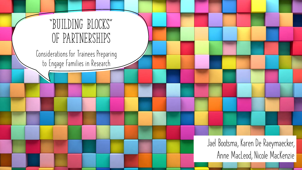

**Considerations for Trainees Preparing to Engage Families in Research**

> **Jael Bootsma, Karen De Raeymaecker, Anne MacLeod, Nicole MacKenzie**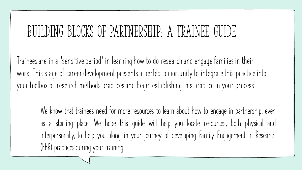# **Building blocks of partnership: a trainee guide**

**Trainees are in a "sensitive period" in learning how to do research and engage families in their work. This stage of career development presents a perfect opportunity to integrate this practice into your toolbox of research methods practices and begin establishing this practice in your process!**

**We know that trainees need for more resources to learn about how to engage in partnership, even as a starting place. We hope this guide will help you locate resources, both physical and interpersonally, to help you along in your journey of developing Family Engagement in Research (FER) practicesduring your training.**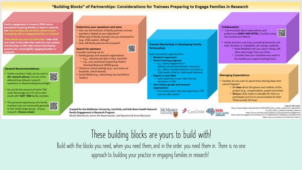### "Building Blocks" of Partnerships: Considerations for Trainees Preparing to Engage Families in Research

骤

amily engagement in research (FER) moves cundaries by giving fomilies a voice in research, hat many trainees do not know where to start eveloping skills in engaging families in research)

here blocks are yours to huild with - take what row meed, in the order that works for your project nd learning, to take steps toward developing ractices for meaningfully engaging families in esearchi

### **General Recommendations**

- Family members' help can be used in determining relevant research questions or disseminating knowledge!
- . Do not let the amount of 'extra' FERwork discourage you! It's ok to start small with 'JUST' ONE family member.
- . The personal experiences of a family 鬻 member may not necessarily generaliz to the whole target group of your research. Choose wisely!

#### Determine your questions and aims

- . How can the inclusion of family partners uncover. questions related to your objectives?
- . What type of family member are you interested in (e.g., child, parent, sibling)?
- . How will family partners be involved?

### Search for partners

- Consider reaching out to:
- . Family groups and research organizations
	- . E.g., Solutions for Kids in Pain, CanChild . E.g., your provincial Supporting Patient
- Oriented Research (SPOR) proup · Clinical or school settings (e.g., care teams at haspitals, school boards)
- . Social Media (e.g., odvertising vio ConChild on Twitter)

**Trainee Mentorship in Developing Family Partnerships:** 

Seek menton/hip opportunities:

- \* Research supervisors:
- \* Formal training programs
- \* E.g., Family Engagement in Research (CanChR&/McMaster University)
- . E.s., Potient Orlented Research Controllent in Child Health (PORCO): Child-Bright Network)

#### · Experts in your field

· Seek researchers in your field who are: champions in FERI-

### . Your traines groups and research

### organizations

\* Your trainee peers may have expertise in FER. and can offer advice.

Created for the McMaster University, CanChild, and Kids Brain Health Network Family Engagement in Research Program

Nicole MacKenzie, Karen De Raeymaecker, Jael Bootsma & Anne MacLeod

### McMaster University **Big**



### **Collaboration**

. Communicate about expectations and preferences EARLY AND OFTEN. Consider using the Involvement Matrix.



- . Family partners may have competing demands and their situation or availability can change suddenly.
	- . Build flexibility into your plans: things will often take longer than you think.
	- \* Consider that your schedule may need to be outside your typical working hours.

### **Managing Expectations**

brain health

- . Families do not want to spend time sharing ideas that cannot happen!
	- . Be clear about the givens and realities of the project (e.g., compensation, project priorities)
	- . Discuss what makes it valuable for them to participate and try to accommodate for that. Think outside the boa!

#### Links for Officerdes

Https://Hesearchgate.net/publication/32224555\_Early\_career\_researchers'\_perspectiv et\_and\_roles\_in\_patient-priethed\_research https://arunx.canchild.ca/en/reosanch-in-practice/family-angagement #ttgs: j/jaurnals.sagepuis.com/doi/ats/18.1177/08404704177445687jaurnatCode+hmfs

https://www.kcrutracht.nt/involvement-matrix

These building blocks are yours to build with! Build with the blocks you need, when you need them, and in the order you need them in. There is no one

approach to building your practice in engaging families in research!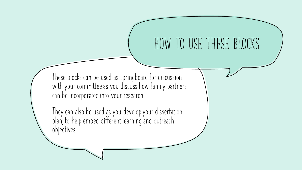# **How to use these blocks**

**These blocks can be used as springboard for discussion with your committee as you discuss how family partners can be incorporated into your research.**

**They can also be used as you develop your dissertation plan, to help embed different learning and outreach objectives.**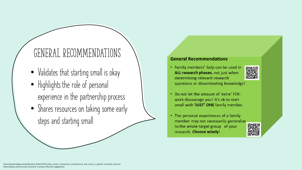# **General Recommendations**

- **Validates that starting small is okay**
- **Highlights the role of personal experience in the partnership process**
- **Shares resources on taking some early steps and starting small**

## **General Recommendations**

• Family members' help can be used in ALL research phases, not just when determining relevant research questions or disseminating knowledge!



- Do not let the amount of 'extra' FERwork discourage you! It's ok to start small with 'JUST' ONE family member.
- The personal experiences of a family member may not necessarily generalize to the whole target group of your research. Choose wisely!

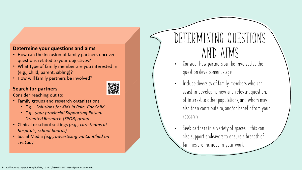## Determine your questions and aims

- How can the inclusion of family partners uncover questions related to your objectives?
- What type of family member are you interested in (e.g., child, parent, sibling)?
- How will family partners be involved?

## **Search for partners**



Consider reaching out to:

- Family groups and research organizations
	- E.g., Solutions for Kids in Pain, CanChild
	- E.g., your provincial Supporting Patient **Oriented Research [SPOR] group**
- Clinical or school settings (e.g., care teams at hospitals, school boards)
- · Social Media (e.g., advertising via CanChild on Twitter)

# DETERMINING QUESTIONS **and aims**

- **Consider how partners can be involved at the question development stage**
- **Include diversity of family members who can assist in developing new and relevant questions of interest to other populations, and whom may also then contribute to, and/or benefit from your research**
- **Seek partners in a variety of spaces – this can also support endeavors to ensure a breadth of families are included in your work**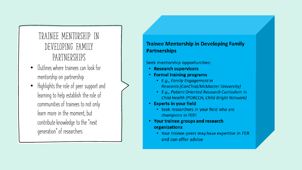# TRAINEE MENTORSHIP IN DEVELOPING FAMILY PARTNERSHIPS

- Outlines where trainees can look for  $\bullet$ mentorship on partnership
- Highlights the role of peer support and learning to help establish the role of communities of trainees to not only learn more in the moment, but contribute knowledge to the "next qeneration" of researchers

## **Trainee Mentorship in Developing Family Partnerships**

Seek mentorship opportunities:

- Research supervisors
- Formal training programs
	- E.g., Family Engagement in **Research (CanChild/McMaster University)**
	- E.g., Patient Oriented Research Curriculum in Child Health (PORCCH; Child-Bright Network)
- Experts in your field
	- Seek researchers in your field who are champions in FER!
- Your trainee groups and research organizations
	- Your trainee peers may have expertise in FER and can offer advice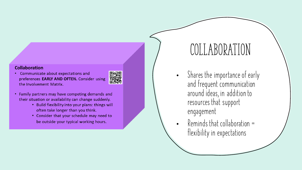### **Collaboration**

Communicate about expectations and preferences EARLY AND OFTEN. Consider using the Involvement Matrix.



- Family partners may have competing demands and their situation or availability can change suddenly.
	- Build flexibility into your plans: things will often take longer than you think.
	- Consider that your schedule may need to be outside your typical working hours.

# **Collaboration**

- **Shares the importance of early and frequent communication around ideas, in addition to resources that support engagement**
- **Reminds that collaboration = flexibility in expectations**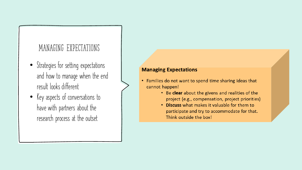# **Managing expectations**

- **Strategies for setting expectations and how to manage when the end result looks different**
- **Key aspects of conversations to have with partners about the research process at the outset**

## **Managing Expectations**

- Families do not want to spend time sharing ideas that cannot happen!
	- Be clear about the givens and realities of the project (e.g., compensation, project priorities)
	- Discuss what makes it valuable for them to participate and try to accommodate for that. Think outside the box!